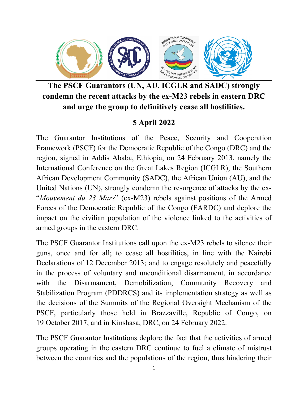

**The PSCF Guarantors (UN, AU, ICGLR and SADC) strongly condemn the recent attacks by the ex-M23 rebels in eastern DRC and urge the group to definitively cease all hostilities.**

## **5 April 2022**

The Guarantor Institutions of the Peace, Security and Cooperation Framework (PSCF) for the Democratic Republic of the Congo (DRC) and the region, signed in Addis Ababa, Ethiopia, on 24 February 2013, namely the International Conference on the Great Lakes Region (ICGLR), the Southern African Development Community (SADC), the African Union (AU), and the United Nations (UN), strongly condemn the resurgence of attacks by the ex- "*Mouvement du 23 Mars*" (ex-M23) rebels against positions of the Armed Forces of the Democratic Republic of the Congo (FARDC) and deplore the impact on the civilian population of the violence linked to the activities of armed groups in the eastern DRC.

The PSCF Guarantor Institutions call upon the ex-M23 rebels to silence their guns, once and for all; to cease all hostilities, in line with the Nairobi Declarations of 12 December 2013; and to engage resolutely and peacefully in the process of voluntary and unconditional disarmament, in accordance with the Disarmament, Demobilization, Community Recovery and Stabilization Program (PDDRCS) and its implementation strategy as well as the decisions of the Summits of the Regional Oversight Mechanism of the PSCF, particularly those held in Brazzaville, Republic of Congo, on 19 October 2017, and in Kinshasa, DRC, on 24 February 2022.

The PSCF Guarantor Institutions deplore the fact that the activities of armed groups operating in the eastern DRC continue to fuel a climate of mistrust between the countries and the populations of the region, thus hindering their